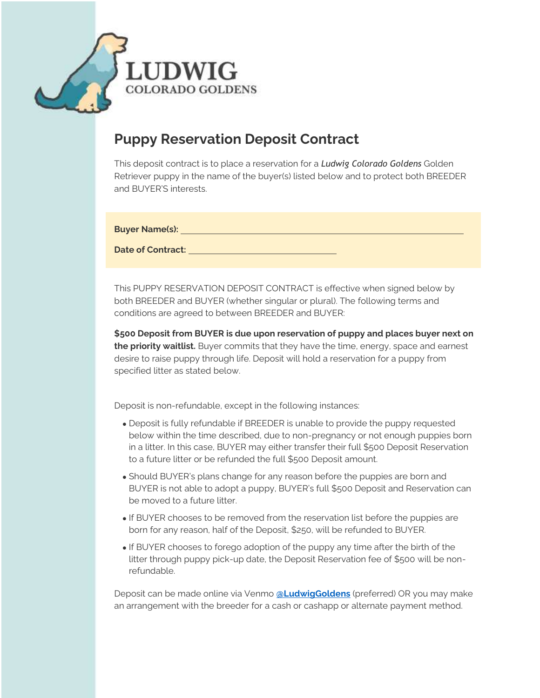

# **Puppy Reservation Deposit Contract**

This deposit contract is to place a reservation for a *Ludwig Colorado Goldens* Golden Retriever puppy in the name of the buyer(s) listed below and to protect both BREEDER and BUYER'S interests.

| <b>Buyer Name(s):</b>    |  |
|--------------------------|--|
| <b>Date of Contract:</b> |  |

This PUPPY RESERVATION DEPOSIT CONTRACT is effective when signed below by both BREEDER and BUYER (whether singular or plural). The following terms and conditions are agreed to between BREEDER and BUYER:

**\$500 Deposit from BUYER is due upon reservation of puppy and places buyer next on the priority waitlist.** Buyer commits that they have the time, energy, space and earnest desire to raise puppy through life. Deposit will hold a reservation for a puppy from specified litter as stated below.

Deposit is non-refundable, except in the following instances:

- Deposit is fully refundable if BREEDER is unable to provide the puppy requested below within the time described, due to non-pregnancy or not enough puppies born in a litter. In this case, BUYER may either transfer their full \$500 Deposit Reservation to a future litter or be refunded the full \$500 Deposit amount.
- Should BUYER's plans change for any reason before the puppies are born and BUYER is not able to adopt a puppy, BUYER's full \$500 Deposit and Reservation can be moved to a future litter.
- If BUYER chooses to be removed from the reservation list before the puppies are born for any reason, half of the Deposit, \$250, will be refunded to BUYER.
- If BUYER chooses to forego adoption of the puppy any time after the birth of the litter through puppy pick-up date, the Deposit Reservation fee of \$500 will be nonrefundable.

Deposit can be made online via Venmo **[@LudwigGoldens](https://venmo.com/u/LudwigGoldens)** (preferred) OR you may make an arrangement with the breeder for a cash or cashapp or alternate payment method.